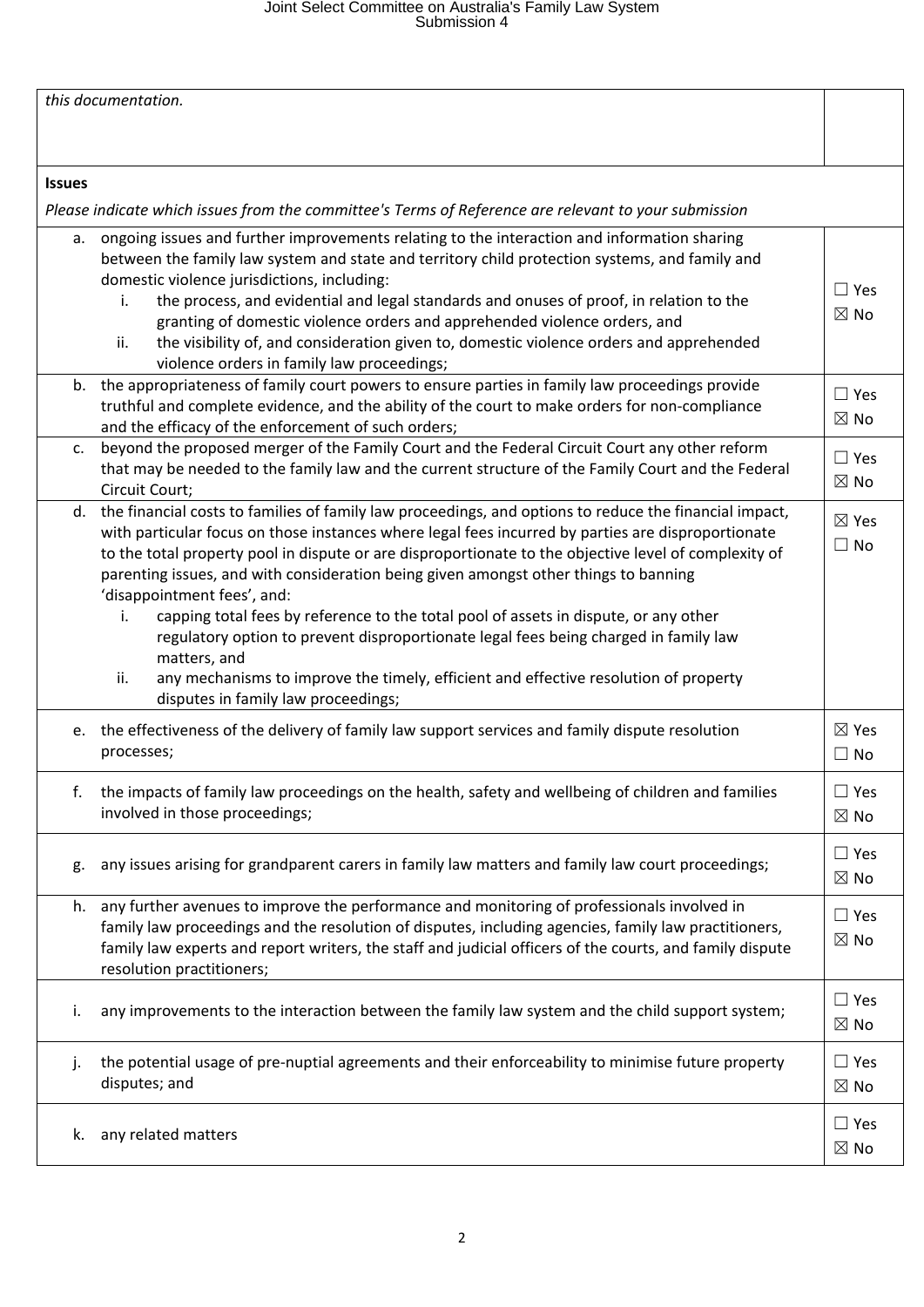# Joint Select Committee on Australia's Family Law System Submission 4

| this documentation. |                                                                                                                                                                                                                                                                                                                                                                                                                                                                                                                                                                                                                                                                                                                                                                             |                              |  |
|---------------------|-----------------------------------------------------------------------------------------------------------------------------------------------------------------------------------------------------------------------------------------------------------------------------------------------------------------------------------------------------------------------------------------------------------------------------------------------------------------------------------------------------------------------------------------------------------------------------------------------------------------------------------------------------------------------------------------------------------------------------------------------------------------------------|------------------------------|--|
|                     |                                                                                                                                                                                                                                                                                                                                                                                                                                                                                                                                                                                                                                                                                                                                                                             |                              |  |
| <b>Issues</b>       |                                                                                                                                                                                                                                                                                                                                                                                                                                                                                                                                                                                                                                                                                                                                                                             |                              |  |
|                     | Please indicate which issues from the committee's Terms of Reference are relevant to your submission                                                                                                                                                                                                                                                                                                                                                                                                                                                                                                                                                                                                                                                                        |                              |  |
| а.<br>i.            | ongoing issues and further improvements relating to the interaction and information sharing<br>between the family law system and state and territory child protection systems, and family and<br>domestic violence jurisdictions, including:<br>the process, and evidential and legal standards and onuses of proof, in relation to the<br>granting of domestic violence orders and apprehended violence orders, and                                                                                                                                                                                                                                                                                                                                                        | $\Box$ Yes<br>$\boxtimes$ No |  |
| ii.                 | the visibility of, and consideration given to, domestic violence orders and apprehended<br>violence orders in family law proceedings;                                                                                                                                                                                                                                                                                                                                                                                                                                                                                                                                                                                                                                       |                              |  |
|                     | b. the appropriateness of family court powers to ensure parties in family law proceedings provide<br>truthful and complete evidence, and the ability of the court to make orders for non-compliance<br>and the efficacy of the enforcement of such orders;                                                                                                                                                                                                                                                                                                                                                                                                                                                                                                                  | $\Box$ Yes<br>$\boxtimes$ No |  |
| $\mathsf{C}$ .      | beyond the proposed merger of the Family Court and the Federal Circuit Court any other reform<br>that may be needed to the family law and the current structure of the Family Court and the Federal<br>Circuit Court;                                                                                                                                                                                                                                                                                                                                                                                                                                                                                                                                                       | $\Box$ Yes<br>$\boxtimes$ No |  |
| d.<br>i.<br>ii.     | the financial costs to families of family law proceedings, and options to reduce the financial impact,<br>with particular focus on those instances where legal fees incurred by parties are disproportionate<br>to the total property pool in dispute or are disproportionate to the objective level of complexity of<br>parenting issues, and with consideration being given amongst other things to banning<br>'disappointment fees', and:<br>capping total fees by reference to the total pool of assets in dispute, or any other<br>regulatory option to prevent disproportionate legal fees being charged in family law<br>matters, and<br>any mechanisms to improve the timely, efficient and effective resolution of property<br>disputes in family law proceedings; | ⊠ Yes<br>$\Box$ No           |  |
| e.                  | the effectiveness of the delivery of family law support services and family dispute resolution<br>processes;                                                                                                                                                                                                                                                                                                                                                                                                                                                                                                                                                                                                                                                                | $\boxtimes$ Yes<br>$\Box$ No |  |
| f.                  | the impacts of family law proceedings on the health, safety and wellbeing of children and families<br>involved in those proceedings;                                                                                                                                                                                                                                                                                                                                                                                                                                                                                                                                                                                                                                        | $\Box$ Yes<br>$\boxtimes$ No |  |
| g.                  | any issues arising for grandparent carers in family law matters and family law court proceedings;                                                                                                                                                                                                                                                                                                                                                                                                                                                                                                                                                                                                                                                                           | $\Box$ Yes<br>$\boxtimes$ No |  |
| h.                  | any further avenues to improve the performance and monitoring of professionals involved in<br>family law proceedings and the resolution of disputes, including agencies, family law practitioners,<br>family law experts and report writers, the staff and judicial officers of the courts, and family dispute<br>resolution practitioners;                                                                                                                                                                                                                                                                                                                                                                                                                                 | $\Box$ Yes<br>$\boxtimes$ No |  |
| i.                  | any improvements to the interaction between the family law system and the child support system;                                                                                                                                                                                                                                                                                                                                                                                                                                                                                                                                                                                                                                                                             | $\Box$ Yes<br>$\boxtimes$ No |  |
| j.                  | the potential usage of pre-nuptial agreements and their enforceability to minimise future property<br>disputes; and                                                                                                                                                                                                                                                                                                                                                                                                                                                                                                                                                                                                                                                         | $\Box$ Yes<br>$\boxtimes$ No |  |
| k.                  | any related matters                                                                                                                                                                                                                                                                                                                                                                                                                                                                                                                                                                                                                                                                                                                                                         | $\Box$ Yes<br>$\boxtimes$ No |  |
|                     |                                                                                                                                                                                                                                                                                                                                                                                                                                                                                                                                                                                                                                                                                                                                                                             |                              |  |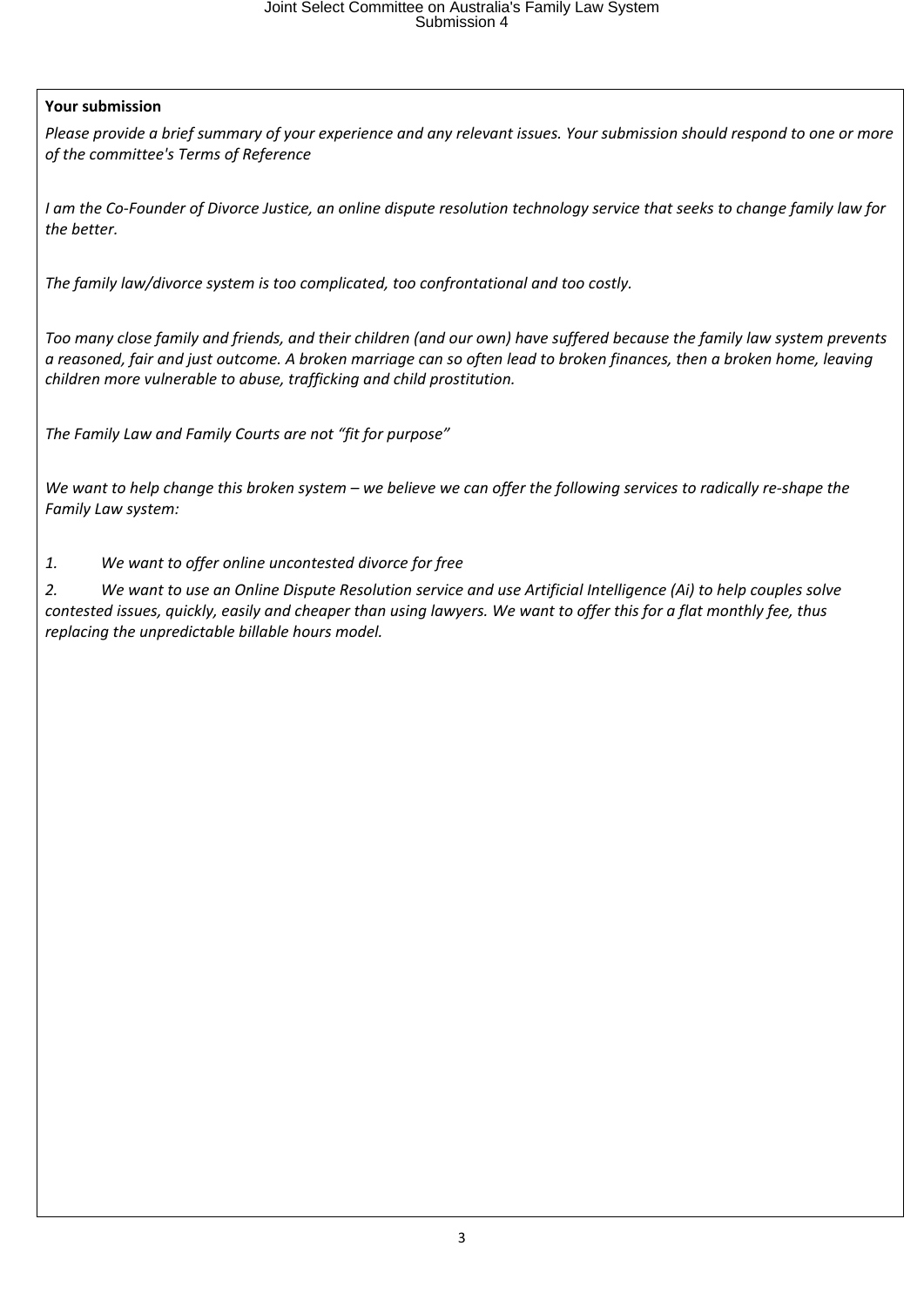## **Your submission**

Please provide a brief summary of your experience and any relevant issues. Your submission should respond to one or more *of the committee's Terms of Reference*

I am the Co-Founder of Divorce Justice, an online dispute resolution technology service that seeks to change family law for *the better.*

*The family law/divorce system is too complicated, too confrontational and too costly.*

Too many close family and friends, and their children (and our own) have suffered because the family law system prevents a reasoned, fair and just outcome. A broken marriage can so often lead to broken finances, then a broken home, leaving *children more vulnerable to abuse, trafficking and child prostitution.*

*The Family Law and Family Courts are not "fit for purpose"*

We want to help change this broken system – we believe we can offer the following services to radically re-shape the *Family Law system:*

### *1. We want to offer online uncontested divorce for free*

2. We want to use an Online Dispute Resolution service and use Artificial Intelligence (Ai) to help couples solve contested issues, quickly, easily and cheaper than using lawyers. We want to offer this for a flat monthly fee, thus *replacing the unpredictable billable hours model.*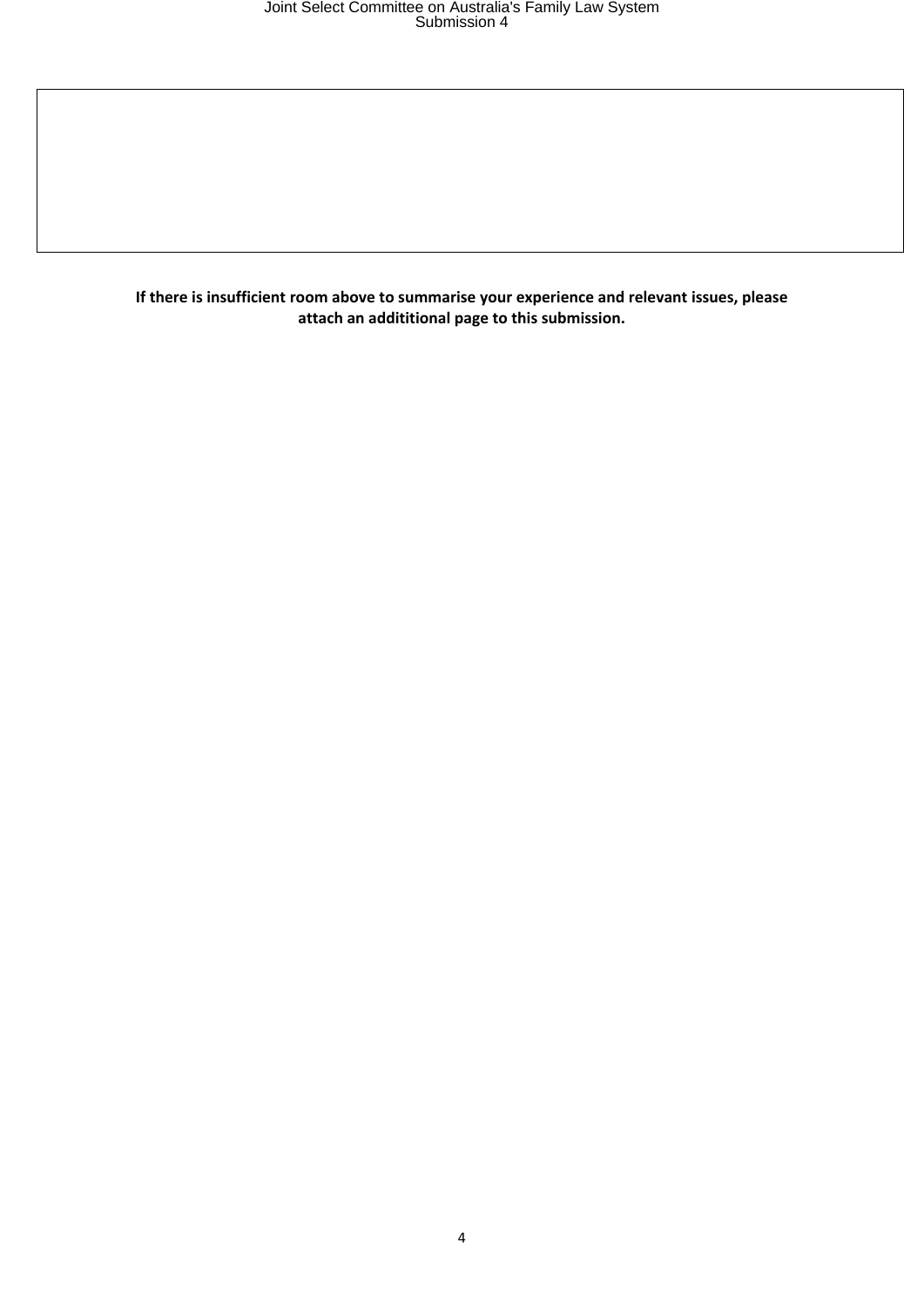**If there is insufficient room above to summarise your experience and relevant issues, please attach an addititional page to this submission.**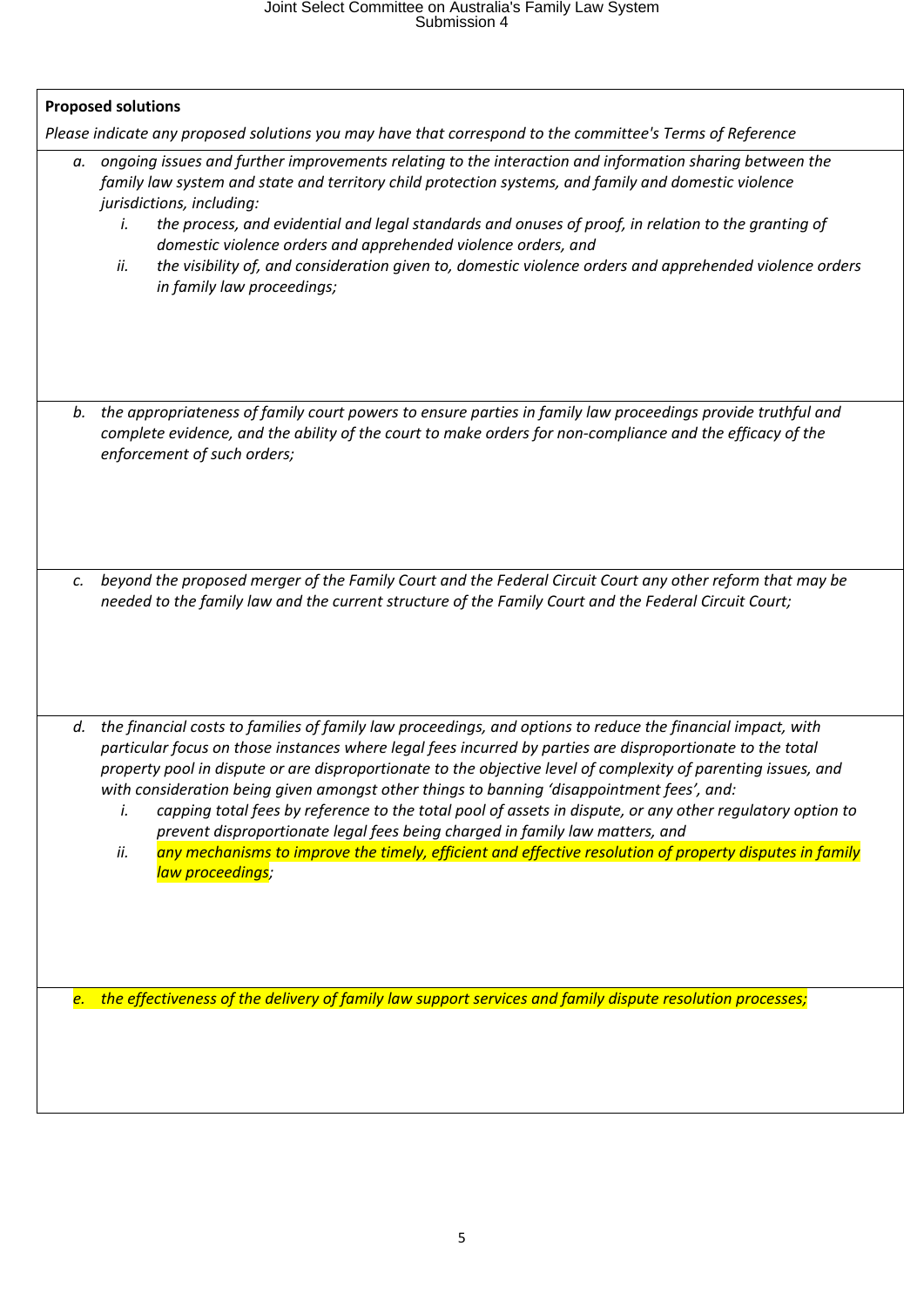# Joint Select Committee on Australia's Family Law System Submission 4

| а. | Please indicate any proposed solutions you may have that correspond to the committee's Terms of Reference<br>ongoing issues and further improvements relating to the interaction and information sharing between the<br>family law system and state and territory child protection systems, and family and domestic violence<br>jurisdictions, including:<br>the process, and evidential and legal standards and onuses of proof, in relation to the granting of<br>i.<br>domestic violence orders and apprehended violence orders, and                                                                                                                                                                                                                                            |
|----|------------------------------------------------------------------------------------------------------------------------------------------------------------------------------------------------------------------------------------------------------------------------------------------------------------------------------------------------------------------------------------------------------------------------------------------------------------------------------------------------------------------------------------------------------------------------------------------------------------------------------------------------------------------------------------------------------------------------------------------------------------------------------------|
|    | the visibility of, and consideration given to, domestic violence orders and apprehended violence orders<br>ii.<br>in family law proceedings;                                                                                                                                                                                                                                                                                                                                                                                                                                                                                                                                                                                                                                       |
| b. | the appropriateness of family court powers to ensure parties in family law proceedings provide truthful and<br>complete evidence, and the ability of the court to make orders for non-compliance and the efficacy of the<br>enforcement of such orders;                                                                                                                                                                                                                                                                                                                                                                                                                                                                                                                            |
| c. | beyond the proposed merger of the Family Court and the Federal Circuit Court any other reform that may be<br>needed to the family law and the current structure of the Family Court and the Federal Circuit Court;                                                                                                                                                                                                                                                                                                                                                                                                                                                                                                                                                                 |
| d. | the financial costs to families of family law proceedings, and options to reduce the financial impact, with<br>particular focus on those instances where legal fees incurred by parties are disproportionate to the total<br>property pool in dispute or are disproportionate to the objective level of complexity of parenting issues, and<br>with consideration being given amongst other things to banning 'disappointment fees', and:<br>capping total fees by reference to the total pool of assets in dispute, or any other regulatory option to<br>i.<br>prevent disproportionate legal fees being charged in family law matters, and<br>any mechanisms to improve the timely, efficient and effective resolution of property disputes in family<br>ii.<br>law proceedings; |
|    | e. the effectiveness of the delivery of family law support services and family dispute resolution processes;                                                                                                                                                                                                                                                                                                                                                                                                                                                                                                                                                                                                                                                                       |